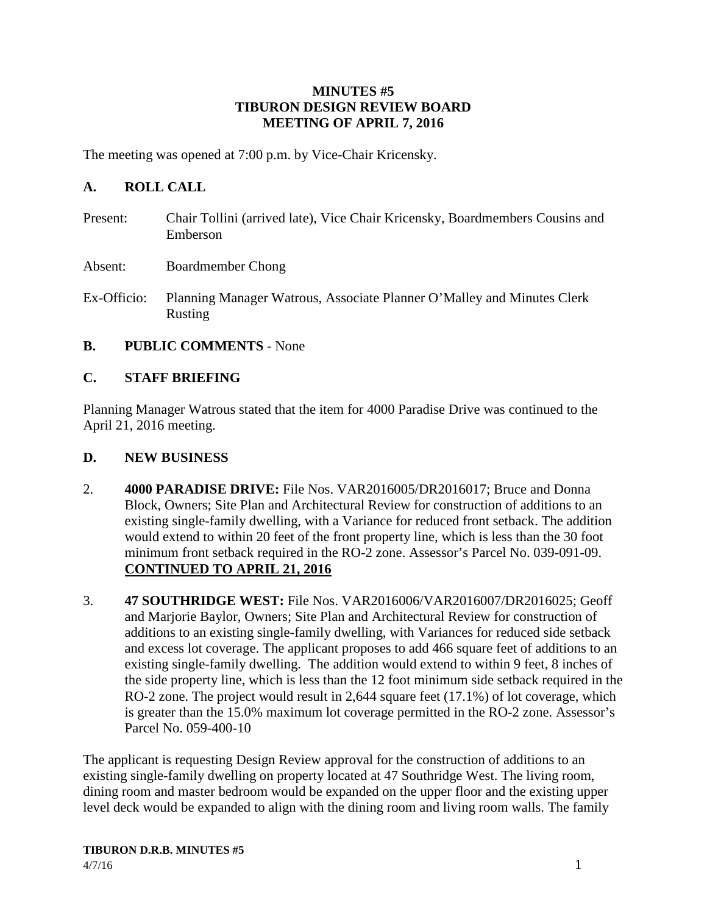#### **MINUTES #5 TIBURON DESIGN REVIEW BOARD MEETING OF APRIL 7, 2016**

The meeting was opened at 7:00 p.m. by Vice-Chair Kricensky.

## **A. ROLL CALL**

- Present: Chair Tollini (arrived late), Vice Chair Kricensky, Boardmembers Cousins and Emberson
- Absent: Boardmember Chong
- Ex-Officio: Planning Manager Watrous, Associate Planner O'Malley and Minutes Clerk Rusting
- **B. PUBLIC COMMENTS** None

### **C. STAFF BRIEFING**

Planning Manager Watrous stated that the item for 4000 Paradise Drive was continued to the April 21, 2016 meeting.

- **D. NEW BUSINESS**
- 2. **4000 PARADISE DRIVE:** File Nos. VAR2016005/DR2016017; Bruce and Donna Block, Owners; Site Plan and Architectural Review for construction of additions to an existing single-family dwelling, with a Variance for reduced front setback. The addition would extend to within 20 feet of the front property line, which is less than the 30 foot minimum front setback required in the RO-2 zone. Assessor's Parcel No. 039-091-09. **CONTINUED TO APRIL 21, 2016**
- 3. **47 SOUTHRIDGE WEST:** File Nos. VAR2016006/VAR2016007/DR2016025; Geoff and Marjorie Baylor, Owners; Site Plan and Architectural Review for construction of additions to an existing single-family dwelling, with Variances for reduced side setback and excess lot coverage. The applicant proposes to add 466 square feet of additions to an existing single-family dwelling. The addition would extend to within 9 feet, 8 inches of the side property line, which is less than the 12 foot minimum side setback required in the RO-2 zone. The project would result in 2,644 square feet (17.1%) of lot coverage, which is greater than the 15.0% maximum lot coverage permitted in the RO-2 zone. Assessor's Parcel No. 059-400-10

The applicant is requesting Design Review approval for the construction of additions to an existing single-family dwelling on property located at 47 Southridge West. The living room, dining room and master bedroom would be expanded on the upper floor and the existing upper level deck would be expanded to align with the dining room and living room walls. The family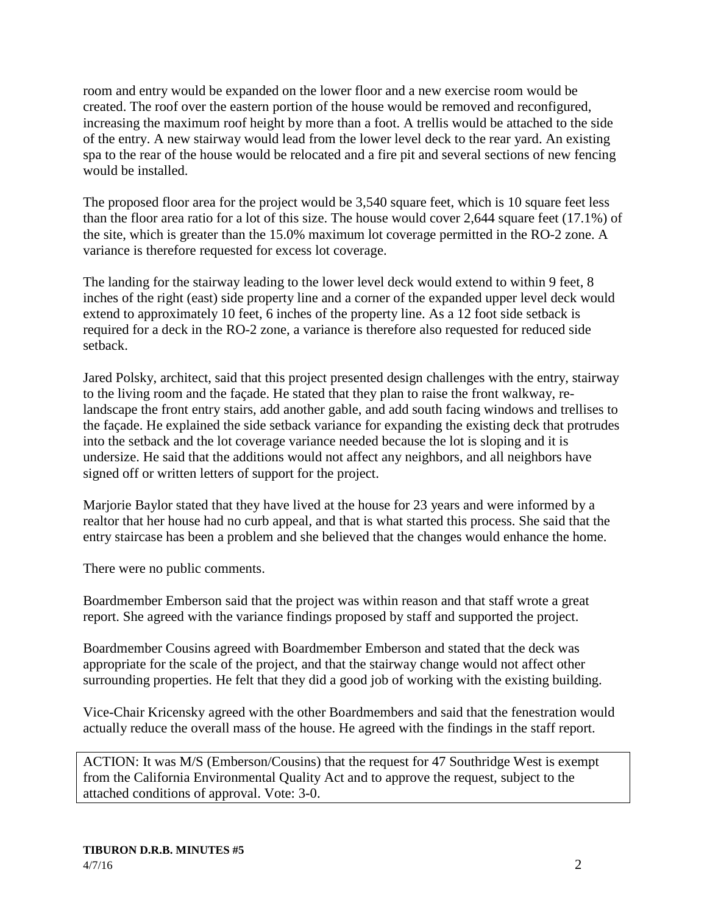room and entry would be expanded on the lower floor and a new exercise room would be created. The roof over the eastern portion of the house would be removed and reconfigured, increasing the maximum roof height by more than a foot. A trellis would be attached to the side of the entry. A new stairway would lead from the lower level deck to the rear yard. An existing spa to the rear of the house would be relocated and a fire pit and several sections of new fencing would be installed.

The proposed floor area for the project would be 3,540 square feet, which is 10 square feet less than the floor area ratio for a lot of this size. The house would cover 2,644 square feet (17.1%) of the site, which is greater than the 15.0% maximum lot coverage permitted in the RO-2 zone. A variance is therefore requested for excess lot coverage.

The landing for the stairway leading to the lower level deck would extend to within 9 feet, 8 inches of the right (east) side property line and a corner of the expanded upper level deck would extend to approximately 10 feet, 6 inches of the property line. As a 12 foot side setback is required for a deck in the RO-2 zone, a variance is therefore also requested for reduced side setback.

Jared Polsky, architect, said that this project presented design challenges with the entry, stairway to the living room and the façade. He stated that they plan to raise the front walkway, relandscape the front entry stairs, add another gable, and add south facing windows and trellises to the façade. He explained the side setback variance for expanding the existing deck that protrudes into the setback and the lot coverage variance needed because the lot is sloping and it is undersize. He said that the additions would not affect any neighbors, and all neighbors have signed off or written letters of support for the project.

Marjorie Baylor stated that they have lived at the house for 23 years and were informed by a realtor that her house had no curb appeal, and that is what started this process. She said that the entry staircase has been a problem and she believed that the changes would enhance the home.

There were no public comments.

Boardmember Emberson said that the project was within reason and that staff wrote a great report. She agreed with the variance findings proposed by staff and supported the project.

Boardmember Cousins agreed with Boardmember Emberson and stated that the deck was appropriate for the scale of the project, and that the stairway change would not affect other surrounding properties. He felt that they did a good job of working with the existing building.

Vice-Chair Kricensky agreed with the other Boardmembers and said that the fenestration would actually reduce the overall mass of the house. He agreed with the findings in the staff report.

ACTION: It was M/S (Emberson/Cousins) that the request for 47 Southridge West is exempt from the California Environmental Quality Act and to approve the request, subject to the attached conditions of approval. Vote: 3-0.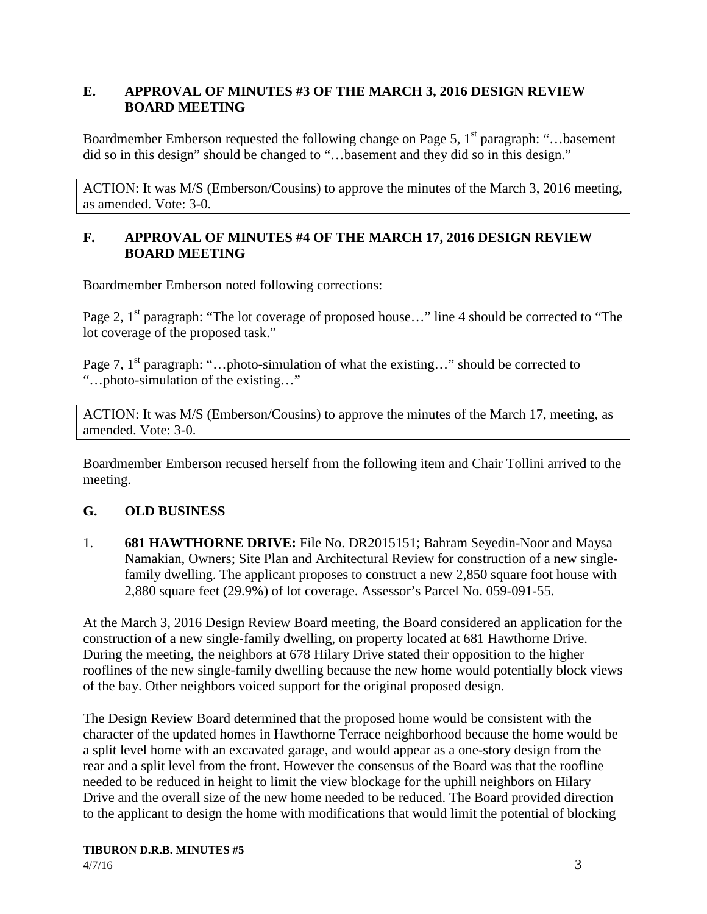### **E. APPROVAL OF MINUTES #3 OF THE MARCH 3, 2016 DESIGN REVIEW BOARD MEETING**

Boardmember Emberson requested the following change on Page 5,  $1<sup>st</sup>$  paragraph: "...basement" did so in this design" should be changed to "…basement and they did so in this design."

ACTION: It was M/S (Emberson/Cousins) to approve the minutes of the March 3, 2016 meeting, as amended. Vote: 3-0.

## **F. APPROVAL OF MINUTES #4 OF THE MARCH 17, 2016 DESIGN REVIEW BOARD MEETING**

Boardmember Emberson noted following corrections:

Page 2, 1<sup>st</sup> paragraph: "The lot coverage of proposed house..." line 4 should be corrected to "The lot coverage of the proposed task."

Page 7,  $1<sup>st</sup>$  paragraph: "…photo-simulation of what the existing…" should be corrected to "…photo-simulation of the existing…"

ACTION: It was M/S (Emberson/Cousins) to approve the minutes of the March 17, meeting, as amended. Vote: 3-0.

Boardmember Emberson recused herself from the following item and Chair Tollini arrived to the meeting.

# **G. OLD BUSINESS**

1. **681 HAWTHORNE DRIVE:** File No. DR2015151; Bahram Seyedin-Noor and Maysa Namakian, Owners; Site Plan and Architectural Review for construction of a new singlefamily dwelling. The applicant proposes to construct a new 2,850 square foot house with 2,880 square feet (29.9%) of lot coverage. Assessor's Parcel No. 059-091-55.

At the March 3, 2016 Design Review Board meeting, the Board considered an application for the construction of a new single-family dwelling, on property located at 681 Hawthorne Drive. During the meeting, the neighbors at 678 Hilary Drive stated their opposition to the higher rooflines of the new single-family dwelling because the new home would potentially block views of the bay. Other neighbors voiced support for the original proposed design.

The Design Review Board determined that the proposed home would be consistent with the character of the updated homes in Hawthorne Terrace neighborhood because the home would be a split level home with an excavated garage, and would appear as a one-story design from the rear and a split level from the front. However the consensus of the Board was that the roofline needed to be reduced in height to limit the view blockage for the uphill neighbors on Hilary Drive and the overall size of the new home needed to be reduced. The Board provided direction to the applicant to design the home with modifications that would limit the potential of blocking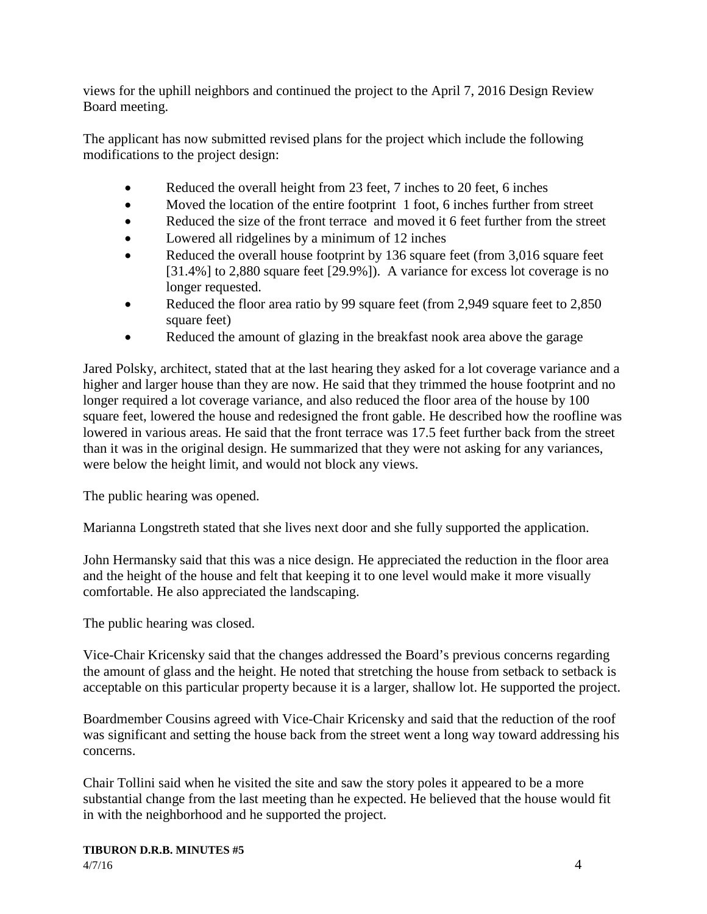views for the uphill neighbors and continued the project to the April 7, 2016 Design Review Board meeting.

The applicant has now submitted revised plans for the project which include the following modifications to the project design:

- Reduced the overall height from 23 feet, 7 inches to 20 feet, 6 inches
- Moved the location of the entire footprint 1 foot, 6 inches further from street
- Reduced the size of the front terrace and moved it 6 feet further from the street
- Lowered all ridgelines by a minimum of 12 inches
- Reduced the overall house footprint by 136 square feet (from 3,016 square feet [31.4%] to 2,880 square feet [29.9%]). A variance for excess lot coverage is no longer requested.
- Reduced the floor area ratio by 99 square feet (from 2,949 square feet to 2,850 square feet)
- Reduced the amount of glazing in the breakfast nook area above the garage

Jared Polsky, architect, stated that at the last hearing they asked for a lot coverage variance and a higher and larger house than they are now. He said that they trimmed the house footprint and no longer required a lot coverage variance, and also reduced the floor area of the house by 100 square feet, lowered the house and redesigned the front gable. He described how the roofline was lowered in various areas. He said that the front terrace was 17.5 feet further back from the street than it was in the original design. He summarized that they were not asking for any variances, were below the height limit, and would not block any views.

The public hearing was opened.

Marianna Longstreth stated that she lives next door and she fully supported the application.

John Hermansky said that this was a nice design. He appreciated the reduction in the floor area and the height of the house and felt that keeping it to one level would make it more visually comfortable. He also appreciated the landscaping.

The public hearing was closed.

Vice-Chair Kricensky said that the changes addressed the Board's previous concerns regarding the amount of glass and the height. He noted that stretching the house from setback to setback is acceptable on this particular property because it is a larger, shallow lot. He supported the project.

Boardmember Cousins agreed with Vice-Chair Kricensky and said that the reduction of the roof was significant and setting the house back from the street went a long way toward addressing his concerns.

Chair Tollini said when he visited the site and saw the story poles it appeared to be a more substantial change from the last meeting than he expected. He believed that the house would fit in with the neighborhood and he supported the project.